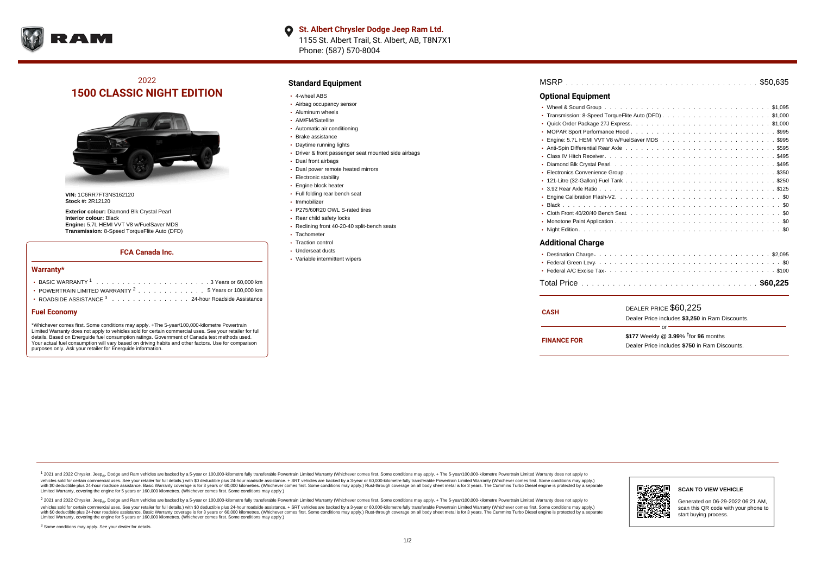

## 2022 **1500 CLASSIC NIGHT EDITION**



**VIN:** 1C6RR7FT3NS162120 **Stock #:** 2R12120

**Exterior colour:** Diamond Blk Crystal Pearl **Interior colour:** Black **Engine:** 5.7L HEMI VVT V8 w/FuelSaver MDS **Transmission:** 8-Speed TorqueFlite Auto (DFD)

### **FCA Canada Inc.**

#### **Warranty\***

| POWERTRAIN LIMITED WARRANTY <sup>2</sup> 5 Years or 100,000 km |
|----------------------------------------------------------------|
| <b>· ROADSIDE ASSISTANCE 3</b> 24-hour Roadside Assistance     |

### **Fuel Economy**

\*Whichever comes first. Some conditions may apply. +The 5-year/100,000-kilometre Powertrain Limited Warranty does not apply to vehicles sold for certain commercial uses. See your retailer for full details. Based on Energuide fuel consumption ratings. Government of Canada test methods used. Your actual fuel consumption will vary based on driving habits and other factors. Use for comparison purposes only. Ask your retailer for Energuide information.

## **Standard Equipment**

- 4-wheel ABS
- Airbag occupancy sensor
- Aluminum wheels
- AM/FM/Satellite
- Automatic air conditioning
- Brake assistance
- Daytime running lights
- Driver & front passenger seat mounted side airbags
- Dual front airbags
- Dual power remote heated mirrors
- **Electronic stability**
- Engine block heater
- Full folding rear bench seat
- · Immobilizer
- P275/60R20 OWL S-rated tires
- Rear child safety locks
- Reclining front 40-20-40 split-bench seats
- Tachometer
- Traction control
- Underseat ducts
- Variable intermittent wipers

| <b>Optional Equipment</b> |  |
|---------------------------|--|
|                           |  |
|                           |  |
|                           |  |
|                           |  |
|                           |  |
|                           |  |
|                           |  |
|                           |  |
|                           |  |
|                           |  |
|                           |  |
|                           |  |
|                           |  |
|                           |  |
|                           |  |
|                           |  |
| Additional Charge         |  |

| <b>CASH</b>        | DEALER PRICE \$60,225<br>Dealer Price includes \$3,250 in Ram Discounts.                                  |  |  |  |  |  |  |  |  |
|--------------------|-----------------------------------------------------------------------------------------------------------|--|--|--|--|--|--|--|--|
| <b>FINANCE FOR</b> | Ωľ<br>\$177 Weekly @ $3.99\%$ <sup>†</sup> for 96 months<br>Dealer Price includes \$750 in Ram Discounts. |  |  |  |  |  |  |  |  |

<sup>1</sup> 2021 and 2022 Chrysler, Jeep<sub>®</sub>, Dodge and Ram vehicles are backed by a 5-year or 100,000-kilometre fully transferable Powertrain Limited Warranty (Whichever comes first. Some conditions may apply. + The 5-year/100,000 vehicles sold for certain commercial uses. See your retailer for full details.) with \$0 deductible plus 24 hour roadside assistance. + SRT vehicles are backed by a 3-year or 60,000-kilometre fully transferable Powertrain L versus and contract the mean of the contract of the contract with a contract with a contract the contract of the contract of the contract the contract of the contract of the contract of the contract of the contract of the Limited Warranty, covering the engine for 5 years or 160,000 kilometres. (Whichever comes first. Some conditions may apply.)

2 2021 and 2022 Chrysler, Jeep<sub>®</sub>, Dodge and Ram vehicles are backed by a 5-year or 100,000-kilometre fully transferable Powertrain Limited Warranty (Whichever comes first. Some conditions may apply. + The 5-year/100,000-k vehicles sold for certain commercial uses. See your retailer for full details.) with SO deductible plus 24-hour roadside assistance. + SRT vehicles are backed by a 3-year or 60.000-kilometre fully transferable Powertrain. with S0 deductible plus 24-hour roadside assistance. Basic Warranty coverage is for 3 years or 60,000 kilometres. (Whichever comes first. Some conditions may apply.) Rust-through coverage on all body sheet metal is for 3 y



## **SCAN TO VIEW VEHICLE**

Generated on 06-29-2022 06:21 AM, scan this QR code with your phone to start buying process.

<sup>3</sup> Some conditions may apply. See your dealer for details.